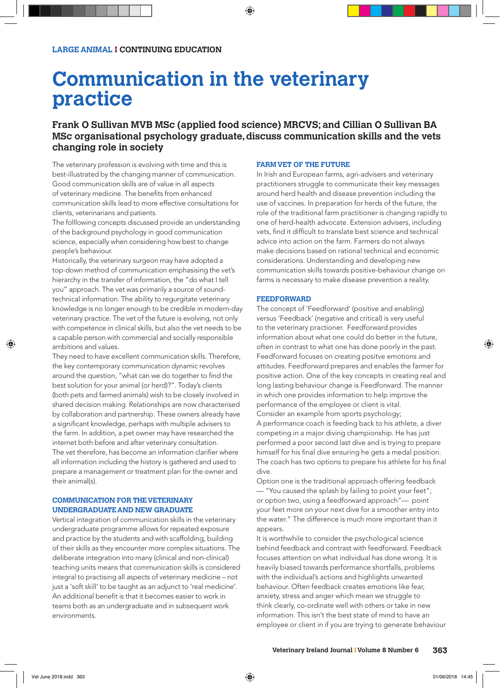# **Communication in the veterinary practice**

# **Frank O Sullivan MVB MSc (applied food science) MRCVS; and Cillian O Sullivan BA MSc organisational psychology graduate, discuss communication skills and the vets changing role in society**

The veterinary profession is evolving with time and this is best-illustrated by the changing manner of communication. Good communication skills are of value in all aspects of veterinary medicine. The benefits from enhanced communication skills lead to more effective consultations for clients, veterinarians and patients.

The folllowing concepts discussed provide an understanding of the background psychology in good communication science, especially when considering how best to change people's behaviour.

Historically, the veterinary surgeon may have adopted a top-down method of communication emphasising the vet's hierarchy in the transfer of information, the "do what I tell you" approach. The vet was primarily a source of soundtechnical information. The ability to regurgitate veterinary knowledge is no longer enough to be credible in modern-day veterinary practice. The vet of the future is evolving, not only with competence in clinical skills, but also the vet needs to be a capable person with commercial and socially responsible ambitions and values.

They need to have excellent communication skills. Therefore, the key contemporary communication dynamic revolves around the question, "what can we do together to find the best solution for your animal (or herd)?". Today's clients (both pets and farmed animals) wish to be closely involved in shared decision making. Relationships are now characterised by collaboration and partnership. These owners already have a significant knowledge, perhaps with multiple advisers to the farm. In addition, a pet owner may have researched the internet both before and after veterinary consultation. The vet therefore, has become an information clarifier where all information including the history is gathered and used to prepare a management or treatment plan for the owner and their animal(s).

#### **COMMUNICATION FOR THE VETERINARY UNDERGRADUATE AND NEW GRADUATE**

Vertical integration of communication skills in the veterinary undergraduate programme allows for repeated exposure and practice by the students and with scaffolding, building of their skills as they encounter more complex situations. The deliberate integration into many (clinical and non-clinical) teaching units means that communication skills is considered integral to practising all aspects of veterinary medicine – not just a 'soft skill' to be taught as an adjunct to 'real medicine'. An additional benefit is that it becomes easier to work in teams both as an undergraduate and in subsequent work environments.

#### **FARM VET OF THE FUTURE**

In Irish and European farms, agri-advisers and veterinary practitioners struggle to communicate their key messages around herd health and disease prevention including the use of vaccines. In preparation for herds of the future, the role of the traditional farm practitioner is changing rapidly to one of herd-health advocate. Extension advisers, including vets, find it difficult to translate best science and technical advice into action on the farm. Farmers do not always make decisions based on rational technical and economic considerations. Understanding and developing new communication skills towards positive-behaviour change on farms is necessary to make disease prevention a reality.

#### **FEEDFORWARD**

The concept of 'Feedforward' (positive and enabling) versus 'Feedback' (negative and critical) is very useful to the veterinary practioner. Feedforward provides information about what one could do better in the future, often in contrast to what one has done poorly in the past. Feedforward focuses on creating positve emotions and attitudes. Feedforward prepares and enables the farmer for positive action. One of the key concepts in creating real and long lasting behaviour change is Feedforward. The manner in which one provides information to help improve the performance of the employee or client is vital. Consider an example from sports psychology; A performance coach is feeding back to his athlete, a diver competing in a major diving championship. He has just performed a poor second last dive and is trying to prepare himself for his final dive ensuring he gets a medal position. The coach has two options to prepare his athlete for his final dive.

Option one is the traditional approach offering feedback — "You caused the splash by failing to point your feet"; or option two, using a feedforward approach"— point your feet more on your next dive for a smoother entry into the water." The difference is much more important than it appears.

It is worthwhile to consider the psychological science behind feedback and contrast with feedforward. Feedback focuses attention on what individual has done wrong. It is heavily biased towards performance shortfalls, problems with the individual's actions and highlights unwanted behaviour. Often feedback creates emotions like fear, anxiety, stress and anger which mean we struggle to think clearly, co-ordinate well with others or take in new information. This isn't the best state of mind to have an employee or client in if you are trying to generate behaviour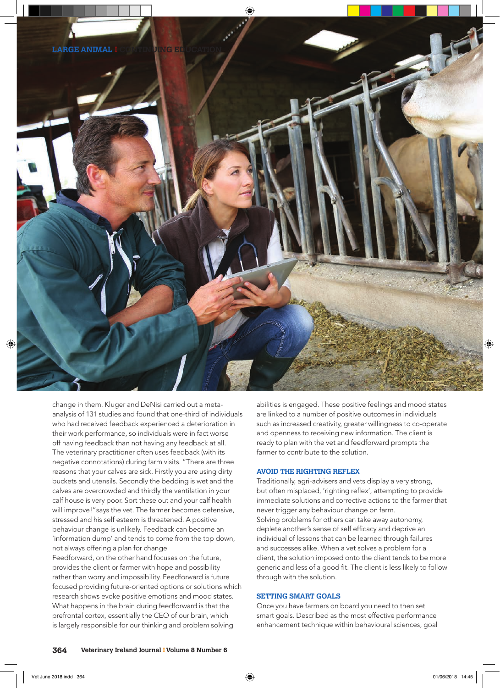

change in them. Kluger and DeNisi carried out a metaanalysis of 131 studies and found that one-third of individuals who had received feedback experienced a deterioration in their work performance, so individuals were in fact worse off having feedback than not having any feedback at all. The veterinary practitioner often uses feedback (with its negative connotations) during farm visits. "There are three reasons that your calves are sick. Firstly you are using dirty buckets and utensils. Secondly the bedding is wet and the calves are overcrowded and thirdly the ventilation in your calf house is very poor. Sort these out and your calf health will improve!"says the vet. The farmer becomes defensive, stressed and his self esteem is threatened. A positive behaviour change is unlikely. Feedback can become an 'information dump' and tends to come from the top down, not always offering a plan for change

Feedforward, on the other hand focuses on the future, provides the client or farmer with hope and possibility rather than worry and impossibility. Feedforward is future focused providing future-oriented options or solutions which research shows evoke positive emotions and mood states. What happens in the brain during feedforward is that the prefrontal cortex, essentially the CEO of our brain, which is largely responsible for our thinking and problem solving

abilities is engaged. These positive feelings and mood states are linked to a number of positive outcomes in individuals such as increased creativity, greater willingness to co-operate and openness to receiving new information. The client is ready to plan with the vet and feedforward prompts the farmer to contribute to the solution.

#### **AVOID THE RIGHTING REFLEX**

Traditionally, agri-advisers and vets display a very strong, but often misplaced, 'righting reflex', attempting to provide immediate solutions and corrective actions to the farmer that never trigger any behaviour change on farm. Solving problems for others can take away autonomy, deplete another's sense of self efficacy and deprive an individual of lessons that can be learned through failures and successes alike. When a vet solves a problem for a client, the solution imposed onto the client tends to be more generic and less of a good fit. The client is less likely to follow through with the solution.

# **SETTING SMART GOALS**

Once you have farmers on board you need to then set smart goals. Described as the most effective performance enhancement technique within behavioural sciences, goal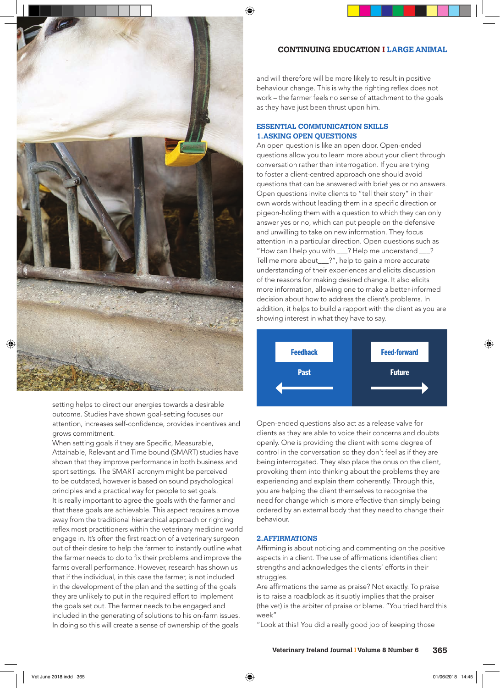

setting helps to direct our energies towards a desirable outcome. Studies have shown goal-setting focuses our attention, increases self-confidence, provides incentives and grows commitment.

When setting goals if they are Specific, Measurable, Attainable, Relevant and Time bound (SMART) studies have shown that they improve performance in both business and sport settings. The SMART acronym might be perceived to be outdated, however is based on sound psychological principles and a practical way for people to set goals. It is really important to agree the goals with the farmer and that these goals are achievable. This aspect requires a move away from the traditional hierarchical approach or righting reflex most practitioners within the veterinary medicine world engage in. It's often the first reaction of a veterinary surgeon out of their desire to help the farmer to instantly outline what the farmer needs to do to fix their problems and improve the farms overall performance. However, research has shown us that if the individual, in this case the farmer, is not included in the development of the plan and the setting of the goals they are unlikely to put in the required effort to implement the goals set out. The farmer needs to be engaged and included in the generating of solutions to his on-farm issues. In doing so this will create a sense of ownership of the goals

# **CONTINUING EDUCATION I LARGE ANIMAL**

and will therefore will be more likely to result in positive behaviour change. This is why the righting reflex does not work – the farmer feels no sense of attachment to the goals as they have just been thrust upon him.

#### **ESSENTIAL COMMUNICATION SKILLS 1. ASKING OPEN QUESTIONS**

An open question is like an open door. Open-ended questions allow you to learn more about your client through conversation rather than interrogation. If you are trying to foster a client-centred approach one should avoid questions that can be answered with brief yes or no answers. Open questions invite clients to "tell their story" in their own words without leading them in a specific direction or pigeon-holing them with a question to which they can only answer yes or no, which can put people on the defensive and unwilling to take on new information. They focus attention in a particular direction. Open questions such as "How can I help you with \_\_\_? Help me understand \_\_\_? Tell me more about\_\_\_?", help to gain a more accurate understanding of their experiences and elicits discussion of the reasons for making desired change. It also elicits more information, allowing one to make a better-informed decision about how to address the client's problems. In addition, it helps to build a rapport with the client as you are showing interest in what they have to say.



Open-ended questions also act as a release valve for clients as they are able to voice their concerns and doubts openly. One is providing the client with some degree of control in the conversation so they don't feel as if they are being interrogated. They also place the onus on the client, provoking them into thinking about the problems they are experiencing and explain them coherently. Through this, you are helping the client themselves to recognise the need for change which is more effective than simply being ordered by an external body that they need to change their behaviour.

### **2. AFFIRMATIONS**

Affirming is about noticing and commenting on the positive aspects in a client. The use of affirmations identifies client strengths and acknowledges the clients' efforts in their struggles.

Are affirmations the same as praise? Not exactly. To praise is to raise a roadblock as it subtly implies that the praiser (the vet) is the arbiter of praise or blame. "You tried hard this week"

"Look at this! You did a really good job of keeping those